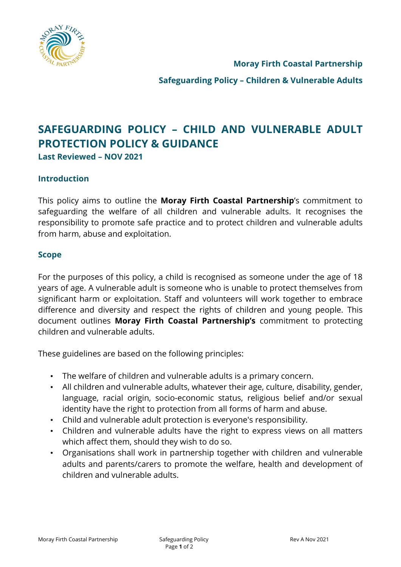

**Moray Firth Coastal Partnership**

**Safeguarding Policy – Children & Vulnerable Adults**

# **SAFEGUARDING POLICY – CHILD AND VULNERABLE ADULT PROTECTION POLICY & GUIDANCE**

**Last Reviewed – NOV 2021**

#### **Introduction**

This policy aims to outline the **Moray Firth Coastal Partnership**'s commitment to safeguarding the welfare of all children and vulnerable adults. It recognises the responsibility to promote safe practice and to protect children and vulnerable adults from harm, abuse and exploitation.

#### **Scope**

For the purposes of this policy, a child is recognised as someone under the age of 18 years of age. A vulnerable adult is someone who is unable to protect themselves from significant harm or exploitation. Staff and volunteers will work together to embrace difference and diversity and respect the rights of children and young people. This document outlines **Moray Firth Coastal Partnership's** commitment to protecting children and vulnerable adults.

These guidelines are based on the following principles:

- The welfare of children and vulnerable adults is a primary concern.
- All children and vulnerable adults, whatever their age, culture, disability, gender, language, racial origin, socio-economic status, religious belief and/or sexual identity have the right to protection from all forms of harm and abuse.
- Child and vulnerable adult protection is everyone's responsibility.
- Children and vulnerable adults have the right to express views on all matters which affect them, should they wish to do so.
- Organisations shall work in partnership together with children and vulnerable adults and parents/carers to promote the welfare, health and development of children and vulnerable adults.